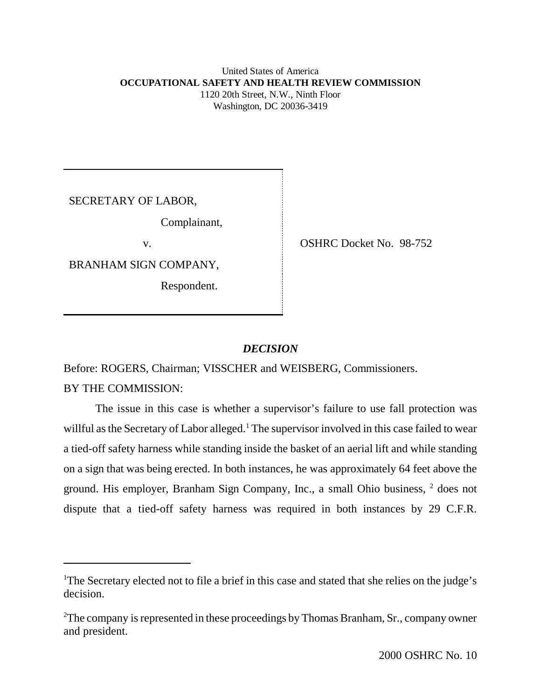# United States of America **OCCUPATIONAL SAFETY AND HEALTH REVIEW COMMISSION** 1120 20th Street, N.W., Ninth Floor Washington, DC 20036-3419

SECRETARY OF LABOR,

Complainant,

BRANHAM SIGN COMPANY,

Respondent.

v. SHRC Docket No. 98-752

# *DECISION*

Before: ROGERS, Chairman; VISSCHER and WEISBERG, Commissioners. BY THE COMMISSION:

The issue in this case is whether a supervisor's failure to use fall protection was willful as the Secretary of Labor alleged.<sup>1</sup> The supervisor involved in this case failed to wear a tied-off safety harness while standing inside the basket of an aerial lift and while standing on a sign that was being erected. In both instances, he was approximately 64 feet above the ground. His employer, Branham Sign Company, Inc., a small Ohio business, <sup>2</sup> does not dispute that a tied-off safety harness was required in both instances by 29 C.F.R.

<sup>&</sup>lt;sup>1</sup>The Secretary elected not to file a brief in this case and stated that she relies on the judge's decision.

 $2$ The company is represented in these proceedings by Thomas Branham, Sr., company owner and president.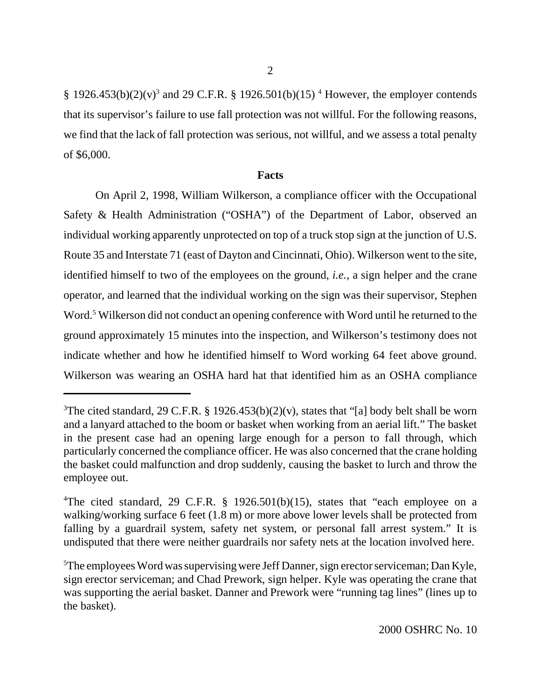§ 1926.453(b)(2)(v)<sup>3</sup> and 29 C.F.R. § 1926.501(b)(15)<sup>4</sup> However, the employer contends that its supervisor's failure to use fall protection was not willful. For the following reasons, we find that the lack of fall protection was serious, not willful, and we assess a total penalty of \$6,000.

### **Facts**

On April 2, 1998, William Wilkerson, a compliance officer with the Occupational Safety & Health Administration ("OSHA") of the Department of Labor, observed an individual working apparently unprotected on top of a truck stop sign at the junction of U.S. Route 35 and Interstate 71 (east of Dayton and Cincinnati, Ohio). Wilkerson went to the site, identified himself to two of the employees on the ground, *i.e.,* a sign helper and the crane operator, and learned that the individual working on the sign was their supervisor, Stephen Word.<sup>5</sup> Wilkerson did not conduct an opening conference with Word until he returned to the ground approximately 15 minutes into the inspection, and Wilkerson's testimony does not indicate whether and how he identified himself to Word working 64 feet above ground. Wilkerson was wearing an OSHA hard hat that identified him as an OSHA compliance

<sup>&</sup>lt;sup>3</sup>The cited standard, 29 C.F.R. § 1926.453(b)(2)(v), states that "[a] body belt shall be worn and a lanyard attached to the boom or basket when working from an aerial lift." The basket in the present case had an opening large enough for a person to fall through, which particularly concerned the compliance officer. He was also concerned that the crane holding the basket could malfunction and drop suddenly, causing the basket to lurch and throw the employee out.

<sup>&</sup>lt;sup>4</sup>The cited standard, 29 C.F.R. § 1926.501(b)(15), states that "each employee on a walking/working surface 6 feet (1.8 m) or more above lower levels shall be protected from falling by a guardrail system, safety net system, or personal fall arrest system." It is undisputed that there were neither guardrails nor safety nets at the location involved here.

<sup>&</sup>lt;sup>5</sup>The employees Word was supervising were Jeff Danner, sign erector serviceman; Dan Kyle, sign erector serviceman; and Chad Prework, sign helper. Kyle was operating the crane that was supporting the aerial basket. Danner and Prework were "running tag lines" (lines up to the basket).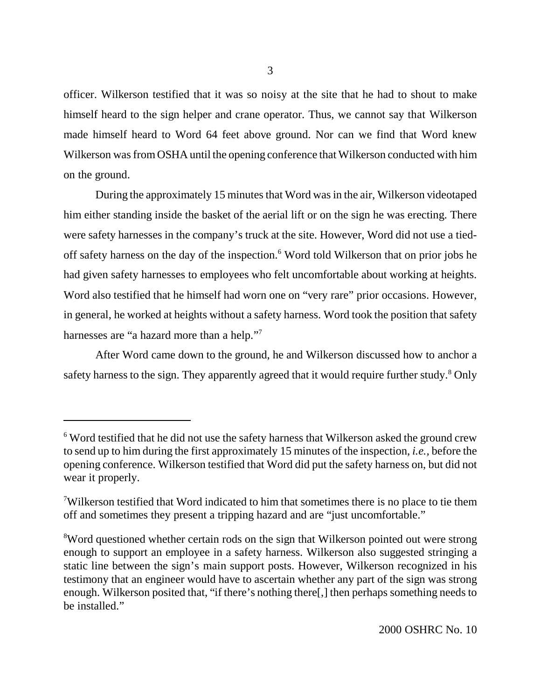officer. Wilkerson testified that it was so noisy at the site that he had to shout to make himself heard to the sign helper and crane operator. Thus, we cannot say that Wilkerson made himself heard to Word 64 feet above ground. Nor can we find that Word knew Wilkerson was from OSHA until the opening conference that Wilkerson conducted with him on the ground.

During the approximately 15 minutes that Word was in the air, Wilkerson videotaped him either standing inside the basket of the aerial lift or on the sign he was erecting. There were safety harnesses in the company's truck at the site. However, Word did not use a tiedoff safety harness on the day of the inspection.<sup>6</sup> Word told Wilkerson that on prior jobs he had given safety harnesses to employees who felt uncomfortable about working at heights. Word also testified that he himself had worn one on "very rare" prior occasions. However, in general, he worked at heights without a safety harness. Word took the position that safety harnesses are "a hazard more than a help."<sup>7</sup>

After Word came down to the ground, he and Wilkerson discussed how to anchor a safety harness to the sign. They apparently agreed that it would require further study.<sup>8</sup> Only

<sup>&</sup>lt;sup>6</sup> Word testified that he did not use the safety harness that Wilkerson asked the ground crew to send up to him during the first approximately 15 minutes of the inspection, *i.e.,* before the opening conference. Wilkerson testified that Word did put the safety harness on, but did not wear it properly.

<sup>&</sup>lt;sup>7</sup>Wilkerson testified that Word indicated to him that sometimes there is no place to tie them off and sometimes they present a tripping hazard and are "just uncomfortable."

<sup>&</sup>lt;sup>8</sup>Word questioned whether certain rods on the sign that Wilkerson pointed out were strong enough to support an employee in a safety harness. Wilkerson also suggested stringing a static line between the sign's main support posts. However, Wilkerson recognized in his testimony that an engineer would have to ascertain whether any part of the sign was strong enough. Wilkerson posited that, "if there's nothing there[,] then perhaps something needs to be installed."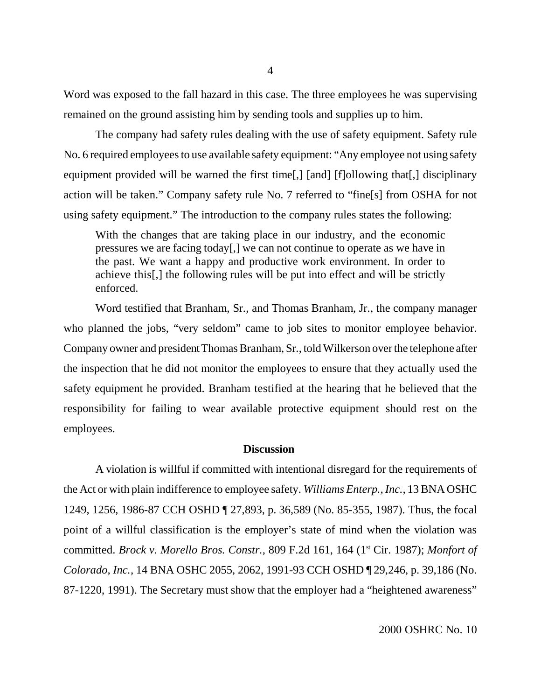Word was exposed to the fall hazard in this case. The three employees he was supervising remained on the ground assisting him by sending tools and supplies up to him.

The company had safety rules dealing with the use of safety equipment. Safety rule No. 6 required employees to use available safety equipment: "Any employee not using safety equipment provided will be warned the first time[,] [and] [f]ollowing that[,] disciplinary action will be taken." Company safety rule No. 7 referred to "fine[s] from OSHA for not using safety equipment." The introduction to the company rules states the following:

With the changes that are taking place in our industry, and the economic pressures we are facing today[,] we can not continue to operate as we have in the past. We want a happy and productive work environment. In order to achieve this[,] the following rules will be put into effect and will be strictly enforced.

Word testified that Branham, Sr., and Thomas Branham, Jr., the company manager who planned the jobs, "very seldom" came to job sites to monitor employee behavior. Company owner and president Thomas Branham, Sr., told Wilkerson over the telephone after the inspection that he did not monitor the employees to ensure that they actually used the safety equipment he provided. Branham testified at the hearing that he believed that the responsibility for failing to wear available protective equipment should rest on the employees.

## **Discussion**

A violation is willful if committed with intentional disregard for the requirements of the Act or with plain indifference to employee safety. *Williams Enterp., Inc.,* 13 BNA OSHC 1249, 1256, 1986-87 CCH OSHD ¶ 27,893, p. 36,589 (No. 85-355, 1987). Thus, the focal point of a willful classification is the employer's state of mind when the violation was committed. *Brock v. Morello Bros. Constr.*, 809 F.2d 161, 164 (1<sup>st</sup> Cir. 1987); *Monfort of Colorado, Inc.,* 14 BNA OSHC 2055, 2062, 1991-93 CCH OSHD ¶ 29,246, p. 39,186 (No. 87-1220, 1991). The Secretary must show that the employer had a "heightened awareness"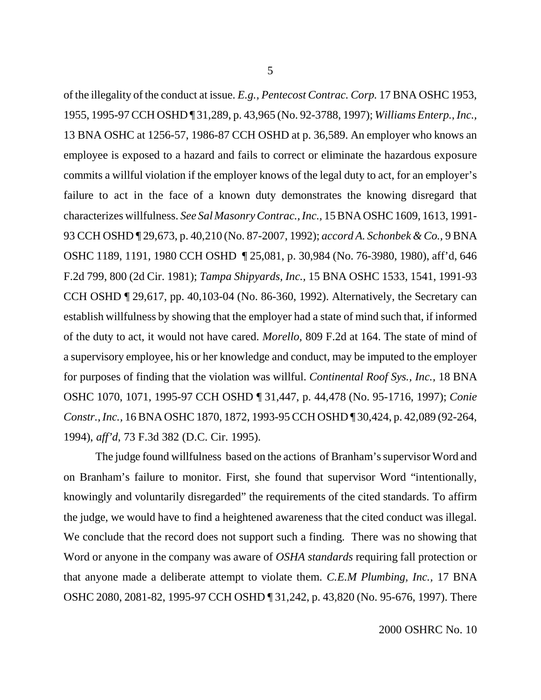of the illegality of the conduct at issue. *E.g., Pentecost Contrac. Corp.* 17 BNA OSHC 1953, 1955, 1995-97 CCH OSHD ¶ 31,289, p. 43,965 (No. 92-3788, 1997); *Williams Enterp., Inc.,* 13 BNA OSHC at 1256-57, 1986-87 CCH OSHD at p. 36,589. An employer who knows an employee is exposed to a hazard and fails to correct or eliminate the hazardous exposure commits a willful violation if the employer knows of the legal duty to act, for an employer's failure to act in the face of a known duty demonstrates the knowing disregard that characterizes willfulness. *See Sal Masonry Contrac., Inc.,* 15 BNA OSHC 1609, 1613, 1991- 93 CCH OSHD ¶ 29,673, p. 40,210 (No. 87-2007, 1992); *accord A. Schonbek & Co.,* 9 BNA OSHC 1189, 1191, 1980 CCH OSHD ¶ 25,081, p. 30,984 (No. 76-3980, 1980), aff'd, 646 F.2d 799, 800 (2d Cir. 1981); *Tampa Shipyards, Inc.,* 15 BNA OSHC 1533, 1541, 1991-93 CCH OSHD ¶ 29,617, pp. 40,103-04 (No. 86-360, 1992). Alternatively, the Secretary can establish willfulness by showing that the employer had a state of mind such that, if informed of the duty to act, it would not have cared. *Morello,* 809 F.2d at 164. The state of mind of a supervisory employee, his or her knowledge and conduct, may be imputed to the employer for purposes of finding that the violation was willful. *Continental Roof Sys., Inc.,* 18 BNA OSHC 1070, 1071, 1995-97 CCH OSHD ¶ 31,447, p. 44,478 (No. 95-1716, 1997); *Conie Constr., Inc.,* 16 BNA OSHC 1870, 1872, 1993-95 CCH OSHD ¶ 30,424, p. 42,089 (92-264, 1994), *aff'd,* 73 F.3d 382 (D.C. Cir. 1995).

The judge found willfulness based on the actions of Branham's supervisor Word and on Branham's failure to monitor. First, she found that supervisor Word "intentionally, knowingly and voluntarily disregarded" the requirements of the cited standards. To affirm the judge, we would have to find a heightened awareness that the cited conduct was illegal. We conclude that the record does not support such a finding. There was no showing that Word or anyone in the company was aware of *OSHA standards* requiring fall protection or that anyone made a deliberate attempt to violate them. *C.E.M Plumbing, Inc.,* 17 BNA OSHC 2080, 2081-82, 1995-97 CCH OSHD ¶ 31,242, p. 43,820 (No. 95-676, 1997). There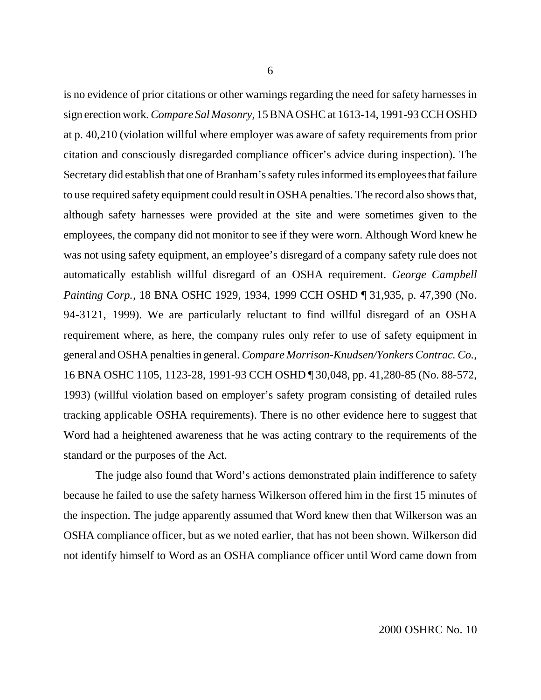is no evidence of prior citations or other warnings regarding the need for safety harnesses in sign erection work. *Compare Sal Masonry,* 15 BNA OSHC at 1613-14, 1991-93 CCH OSHD at p. 40,210 (violation willful where employer was aware of safety requirements from prior citation and consciously disregarded compliance officer's advice during inspection). The Secretary did establish that one of Branham's safety rules informed its employees that failure to use required safety equipment could result in OSHA penalties. The record also shows that, although safety harnesses were provided at the site and were sometimes given to the employees, the company did not monitor to see if they were worn. Although Word knew he was not using safety equipment, an employee's disregard of a company safety rule does not automatically establish willful disregard of an OSHA requirement. *George Campbell Painting Corp.,* 18 BNA OSHC 1929, 1934, 1999 CCH OSHD ¶ 31,935, p. 47,390 (No. 94-3121, 1999). We are particularly reluctant to find willful disregard of an OSHA requirement where, as here, the company rules only refer to use of safety equipment in general and OSHA penalties in general. *Compare Morrison-Knudsen/Yonkers Contrac. Co.,* 16 BNA OSHC 1105, 1123-28, 1991-93 CCH OSHD ¶ 30,048, pp. 41,280-85 (No. 88-572, 1993) (willful violation based on employer's safety program consisting of detailed rules tracking applicable OSHA requirements). There is no other evidence here to suggest that Word had a heightened awareness that he was acting contrary to the requirements of the standard or the purposes of the Act.

The judge also found that Word's actions demonstrated plain indifference to safety because he failed to use the safety harness Wilkerson offered him in the first 15 minutes of the inspection. The judge apparently assumed that Word knew then that Wilkerson was an OSHA compliance officer, but as we noted earlier, that has not been shown. Wilkerson did not identify himself to Word as an OSHA compliance officer until Word came down from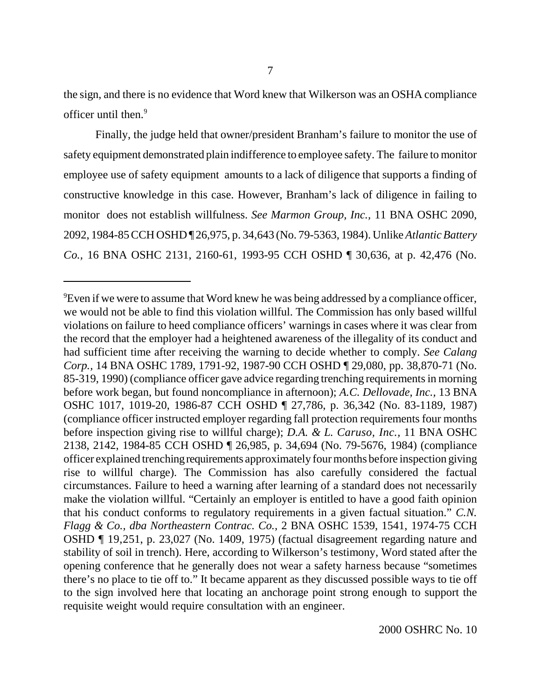the sign, and there is no evidence that Word knew that Wilkerson was an OSHA compliance officer until then.9

Finally, the judge held that owner/president Branham's failure to monitor the use of safety equipment demonstrated plain indifference to employee safety. The failure to monitor employee use of safety equipment amounts to a lack of diligence that supports a finding of constructive knowledge in this case. However, Branham's lack of diligence in failing to monitor does not establish willfulness. *See Marmon Group, Inc.,* 11 BNA OSHC 2090, 2092, 1984-85 CCH OSHD ¶ 26,975, p. 34,643 (No. 79-5363, 1984). Unlike *Atlantic Battery Co.,* 16 BNA OSHC 2131, 2160-61, 1993-95 CCH OSHD ¶ 30,636, at p. 42,476 (No.

 ${}^{9}$ Even if we were to assume that Word knew he was being addressed by a compliance officer, we would not be able to find this violation willful. The Commission has only based willful violations on failure to heed compliance officers' warnings in cases where it was clear from the record that the employer had a heightened awareness of the illegality of its conduct and had sufficient time after receiving the warning to decide whether to comply. *See Calang Corp.,* 14 BNA OSHC 1789, 1791-92, 1987-90 CCH OSHD ¶ 29,080, pp. 38,870-71 (No. 85-319, 1990) (compliance officer gave advice regarding trenching requirements in morning before work began, but found noncompliance in afternoon); *A.C. Dellovade, Inc.,* 13 BNA OSHC 1017, 1019-20, 1986-87 CCH OSHD ¶ 27,786, p. 36,342 (No. 83-1189, 1987) (compliance officer instructed employer regarding fall protection requirements four months before inspection giving rise to willful charge); *D.A. & L. Caruso, Inc.,* 11 BNA OSHC 2138, 2142, 1984-85 CCH OSHD ¶ 26,985, p. 34,694 (No. 79-5676, 1984) (compliance officer explained trenching requirements approximately four months before inspection giving rise to willful charge). The Commission has also carefully considered the factual circumstances. Failure to heed a warning after learning of a standard does not necessarily make the violation willful. "Certainly an employer is entitled to have a good faith opinion that his conduct conforms to regulatory requirements in a given factual situation." *C.N. Flagg & Co., dba Northeastern Contrac. Co.,* 2 BNA OSHC 1539, 1541, 1974-75 CCH OSHD ¶ 19,251, p. 23,027 (No. 1409, 1975) (factual disagreement regarding nature and stability of soil in trench). Here, according to Wilkerson's testimony, Word stated after the opening conference that he generally does not wear a safety harness because "sometimes there's no place to tie off to." It became apparent as they discussed possible ways to tie off to the sign involved here that locating an anchorage point strong enough to support the requisite weight would require consultation with an engineer.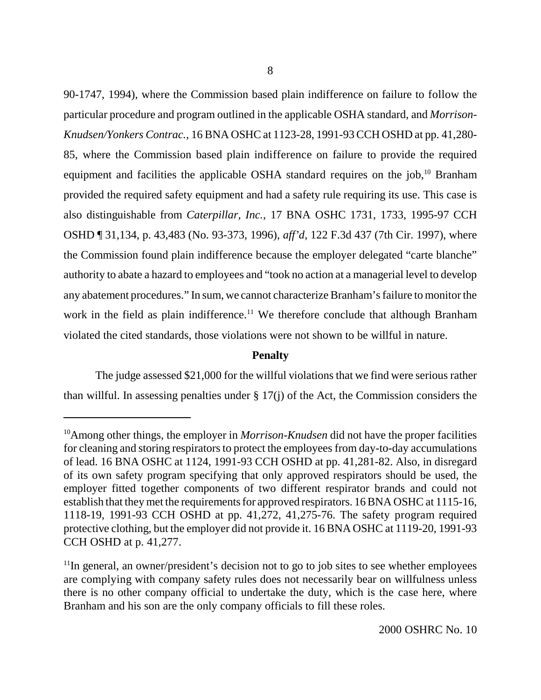90-1747, 1994), where the Commission based plain indifference on failure to follow the particular procedure and program outlined in the applicable OSHA standard, and *Morrison-Knudsen/Yonkers Contrac.,* 16 BNA OSHC at 1123-28, 1991-93 CCH OSHD at pp. 41,280- 85, where the Commission based plain indifference on failure to provide the required equipment and facilities the applicable OSHA standard requires on the job,<sup>10</sup> Branham provided the required safety equipment and had a safety rule requiring its use. This case is also distinguishable from *Caterpillar, Inc.,* 17 BNA OSHC 1731, 1733, 1995-97 CCH OSHD ¶ 31,134, p. 43,483 (No. 93-373, 1996), *aff'd*, 122 F.3d 437 (7th Cir. 1997), where the Commission found plain indifference because the employer delegated "carte blanche" authority to abate a hazard to employees and "took no action at a managerial level to develop any abatement procedures." In sum, we cannot characterize Branham's failure to monitor the work in the field as plain indifference.<sup>11</sup> We therefore conclude that although Branham violated the cited standards, those violations were not shown to be willful in nature.

# **Penalty**

The judge assessed \$21,000 for the willful violations that we find were serious rather than willful. In assessing penalties under § 17(j) of the Act, the Commission considers the

<sup>&</sup>lt;sup>10</sup>Among other things, the employer in *Morrison-Knudsen* did not have the proper facilities for cleaning and storing respirators to protect the employees from day-to-day accumulations of lead. 16 BNA OSHC at 1124, 1991-93 CCH OSHD at pp. 41,281-82. Also, in disregard of its own safety program specifying that only approved respirators should be used, the employer fitted together components of two different respirator brands and could not establish that they met the requirements for approved respirators. 16 BNA OSHC at 1115-16, 1118-19, 1991-93 CCH OSHD at pp. 41,272, 41,275-76. The safety program required protective clothing, but the employer did not provide it. 16 BNA OSHC at 1119-20, 1991-93 CCH OSHD at p. 41,277.

 $11$ In general, an owner/president's decision not to go to job sites to see whether employees are complying with company safety rules does not necessarily bear on willfulness unless there is no other company official to undertake the duty, which is the case here, where Branham and his son are the only company officials to fill these roles.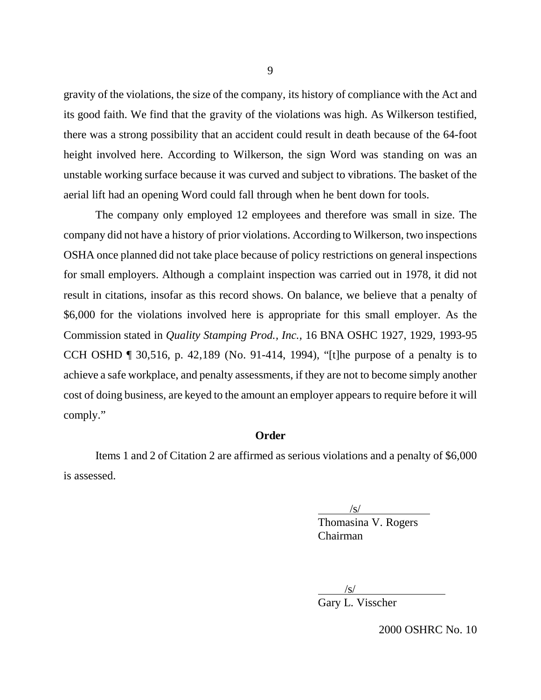gravity of the violations, the size of the company, its history of compliance with the Act and its good faith. We find that the gravity of the violations was high. As Wilkerson testified, there was a strong possibility that an accident could result in death because of the 64-foot height involved here. According to Wilkerson, the sign Word was standing on was an unstable working surface because it was curved and subject to vibrations. The basket of the aerial lift had an opening Word could fall through when he bent down for tools.

The company only employed 12 employees and therefore was small in size. The company did not have a history of prior violations. According to Wilkerson, two inspections OSHA once planned did not take place because of policy restrictions on general inspections for small employers. Although a complaint inspection was carried out in 1978, it did not result in citations, insofar as this record shows. On balance, we believe that a penalty of \$6,000 for the violations involved here is appropriate for this small employer. As the Commission stated in *Quality Stamping Prod., Inc.,* 16 BNA OSHC 1927, 1929, 1993-95 CCH OSHD ¶ 30,516, p. 42,189 (No. 91-414, 1994), "[t]he purpose of a penalty is to achieve a safe workplace, and penalty assessments, if they are not to become simply another cost of doing business, are keyed to the amount an employer appears to require before it will comply."

## **Order**

Items 1 and 2 of Citation 2 are affirmed as serious violations and a penalty of \$6,000 is assessed.

/s/

Thomasina V. Rogers Chairman

 $/s/$ 

Gary L. Visscher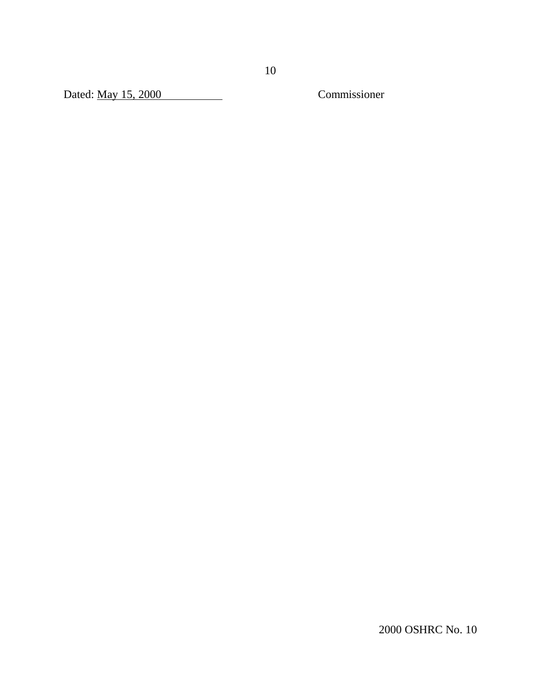Dated: May 15, 2000 Commissioner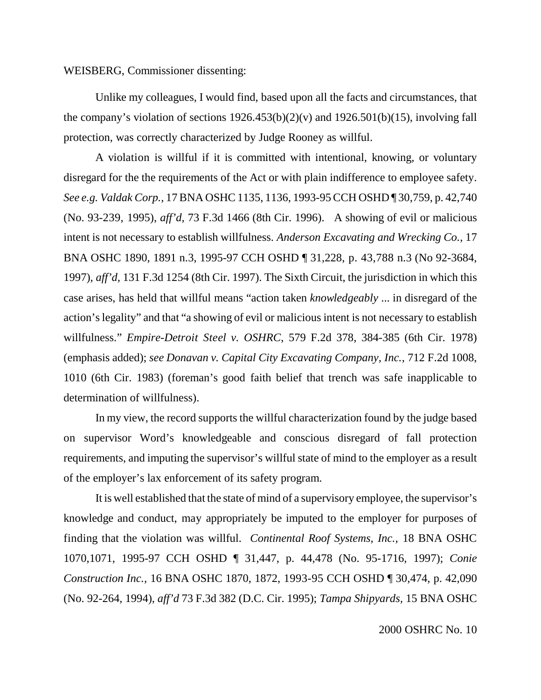### WEISBERG, Commissioner dissenting:

Unlike my colleagues, I would find, based upon all the facts and circumstances, that the company's violation of sections  $1926.453(b)(2)(v)$  and  $1926.501(b)(15)$ , involving fall protection, was correctly characterized by Judge Rooney as willful.

A violation is willful if it is committed with intentional, knowing, or voluntary disregard for the the requirements of the Act or with plain indifference to employee safety. *See e.g. Valdak Corp.,* 17 BNA OSHC 1135, 1136, 1993-95 CCH OSHD ¶ 30,759, p. 42,740 (No. 93-239, 1995), *aff'd,* 73 F.3d 1466 (8th Cir. 1996). A showing of evil or malicious intent is not necessary to establish willfulness. *Anderson Excavating and Wrecking Co.*, 17 BNA OSHC 1890, 1891 n.3, 1995-97 CCH OSHD ¶ 31,228, p. 43,788 n.3 (No 92-3684, 1997), *aff'd,* 131 F.3d 1254 (8th Cir. 1997). The Sixth Circuit, the jurisdiction in which this case arises, has held that willful means "action taken *knowledgeably* ... in disregard of the action's legality" and that "a showing of evil or malicious intent is not necessary to establish willfulness." *Empire-Detroit Steel v. OSHRC*, 579 F.2d 378, 384-385 (6th Cir. 1978) (emphasis added); *see Donavan v. Capital City Excavating Company, Inc.*, 712 F.2d 1008, 1010 (6th Cir. 1983) (foreman's good faith belief that trench was safe inapplicable to determination of willfulness).

In my view, the record supports the willful characterization found by the judge based on supervisor Word's knowledgeable and conscious disregard of fall protection requirements, and imputing the supervisor's willful state of mind to the employer as a result of the employer's lax enforcement of its safety program.

It is well established that the state of mind of a supervisory employee, the supervisor's knowledge and conduct, may appropriately be imputed to the employer for purposes of finding that the violation was willful. *Continental Roof Systems, Inc.,* 18 BNA OSHC 1070,1071, 1995-97 CCH OSHD ¶ 31,447, p. 44,478 (No. 95-1716, 1997); *Conie Construction Inc.,* 16 BNA OSHC 1870, 1872, 1993-95 CCH OSHD ¶ 30,474, p. 42,090 (No. 92-264, 1994), *aff'd* 73 F.3d 382 (D.C. Cir. 1995); *Tampa Shipyards,* 15 BNA OSHC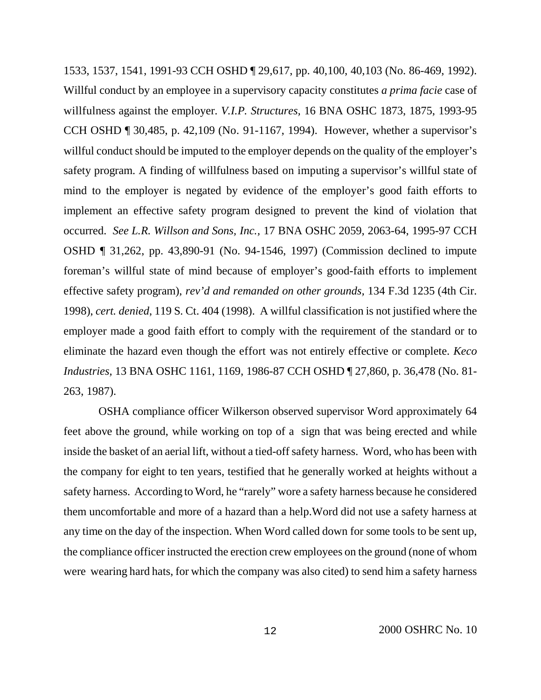1533, 1537, 1541, 1991-93 CCH OSHD ¶ 29,617, pp. 40,100, 40,103 (No. 86-469, 1992). Willful conduct by an employee in a supervisory capacity constitutes *a prima facie* case of willfulness against the employer. *V.I.P. Structures,* 16 BNA OSHC 1873, 1875, 1993-95 CCH OSHD ¶ 30,485, p. 42,109 (No. 91-1167, 1994). However, whether a supervisor's willful conduct should be imputed to the employer depends on the quality of the employer's safety program. A finding of willfulness based on imputing a supervisor's willful state of mind to the employer is negated by evidence of the employer's good faith efforts to implement an effective safety program designed to prevent the kind of violation that occurred. *See L.R. Willson and Sons, Inc.,* 17 BNA OSHC 2059, 2063-64, 1995-97 CCH OSHD ¶ 31,262, pp. 43,890-91 (No. 94-1546, 1997) (Commission declined to impute foreman's willful state of mind because of employer's good-faith efforts to implement effective safety program), *rev'd and remanded on other grounds,* 134 F.3d 1235 (4th Cir. 1998), *cert. denied*, 119 S. Ct. 404 (1998). A willful classification is not justified where the employer made a good faith effort to comply with the requirement of the standard or to eliminate the hazard even though the effort was not entirely effective or complete. *Keco Industries,* 13 BNA OSHC 1161, 1169, 1986-87 CCH OSHD ¶ 27,860, p. 36,478 (No. 81- 263, 1987).

 OSHA compliance officer Wilkerson observed supervisor Word approximately 64 feet above the ground, while working on top of a sign that was being erected and while inside the basket of an aerial lift, without a tied-off safety harness. Word, who has been with the company for eight to ten years, testified that he generally worked at heights without a safety harness. According to Word, he "rarely" wore a safety harness because he considered them uncomfortable and more of a hazard than a help.Word did not use a safety harness at any time on the day of the inspection. When Word called down for some tools to be sent up, the compliance officer instructed the erection crew employees on the ground (none of whom were wearing hard hats, for which the company was also cited) to send him a safety harness

12 2000 OSHRC No. 10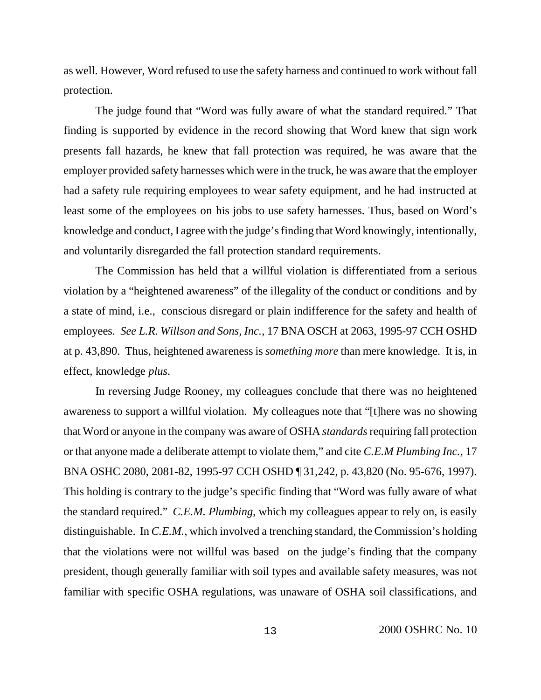as well. However, Word refused to use the safety harness and continued to work without fall protection.

The judge found that "Word was fully aware of what the standard required." That finding is supported by evidence in the record showing that Word knew that sign work presents fall hazards, he knew that fall protection was required, he was aware that the employer provided safety harnesses which were in the truck, he was aware that the employer had a safety rule requiring employees to wear safety equipment, and he had instructed at least some of the employees on his jobs to use safety harnesses. Thus, based on Word's knowledge and conduct, I agree with the judge's finding that Word knowingly, intentionally, and voluntarily disregarded the fall protection standard requirements.

The Commission has held that a willful violation is differentiated from a serious violation by a "heightened awareness" of the illegality of the conduct or conditions and by a state of mind, i.e., conscious disregard or plain indifference for the safety and health of employees. *See L.R. Willson and Sons, Inc.*, 17 BNA OSCH at 2063, 1995-97 CCH OSHD at p. 43,890. Thus, heightened awareness is *something more* than mere knowledge. It is, in effect, knowledge *plus*.

In reversing Judge Rooney, my colleagues conclude that there was no heightened awareness to support a willful violation. My colleagues note that "[t]here was no showing that Word or anyone in the company was aware of OSHA *standards* requiring fall protection or that anyone made a deliberate attempt to violate them," and cite *C.E.M Plumbing Inc.*, 17 BNA OSHC 2080, 2081-82, 1995-97 CCH OSHD ¶ 31,242, p. 43,820 (No. 95-676, 1997). This holding is contrary to the judge's specific finding that "Word was fully aware of what the standard required." *C.E.M. Plumbing*, which my colleagues appear to rely on, is easily distinguishable. In *C.E.M.*, which involved a trenching standard, the Commission's holding that the violations were not willful was based on the judge's finding that the company president, though generally familiar with soil types and available safety measures, was not familiar with specific OSHA regulations, was unaware of OSHA soil classifications, and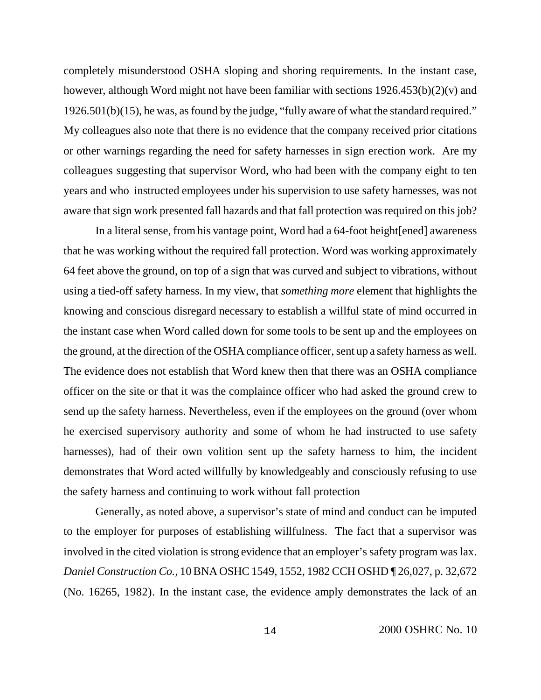completely misunderstood OSHA sloping and shoring requirements. In the instant case, however, although Word might not have been familiar with sections 1926.453(b)(2)(v) and 1926.501(b)(15), he was, as found by the judge, "fully aware of what the standard required." My colleagues also note that there is no evidence that the company received prior citations or other warnings regarding the need for safety harnesses in sign erection work. Are my colleagues suggesting that supervisor Word, who had been with the company eight to ten years and who instructed employees under his supervision to use safety harnesses, was not aware that sign work presented fall hazards and that fall protection was required on this job?

In a literal sense, from his vantage point, Word had a 64-foot height[ened] awareness that he was working without the required fall protection. Word was working approximately 64 feet above the ground, on top of a sign that was curved and subject to vibrations, without using a tied-off safety harness. In my view, that *something more* element that highlights the knowing and conscious disregard necessary to establish a willful state of mind occurred in the instant case when Word called down for some tools to be sent up and the employees on the ground, at the direction of the OSHA compliance officer, sent up a safety harness as well. The evidence does not establish that Word knew then that there was an OSHA compliance officer on the site or that it was the complaince officer who had asked the ground crew to send up the safety harness. Nevertheless, even if the employees on the ground (over whom he exercised supervisory authority and some of whom he had instructed to use safety harnesses), had of their own volition sent up the safety harness to him, the incident demonstrates that Word acted willfully by knowledgeably and consciously refusing to use the safety harness and continuing to work without fall protection

Generally, as noted above, a supervisor's state of mind and conduct can be imputed to the employer for purposes of establishing willfulness. The fact that a supervisor was involved in the cited violation is strong evidence that an employer's safety program was lax. *Daniel Construction Co.,* 10 BNA OSHC 1549, 1552, 1982 CCH OSHD ¶ 26,027, p. 32,672 (No. 16265, 1982). In the instant case, the evidence amply demonstrates the lack of an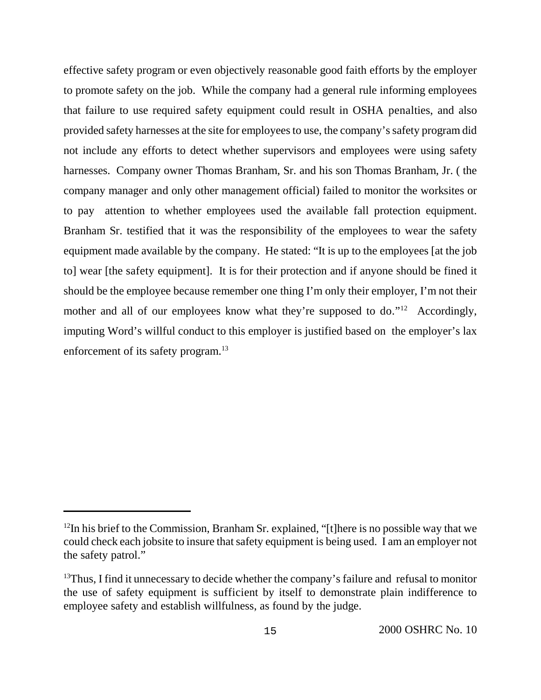effective safety program or even objectively reasonable good faith efforts by the employer to promote safety on the job. While the company had a general rule informing employees that failure to use required safety equipment could result in OSHA penalties, and also provided safety harnesses at the site for employees to use, the company's safety program did not include any efforts to detect whether supervisors and employees were using safety harnesses. Company owner Thomas Branham, Sr. and his son Thomas Branham, Jr. ( the company manager and only other management official) failed to monitor the worksites or to pay attention to whether employees used the available fall protection equipment. Branham Sr. testified that it was the responsibility of the employees to wear the safety equipment made available by the company. He stated: "It is up to the employees [at the job to] wear [the safety equipment]. It is for their protection and if anyone should be fined it should be the employee because remember one thing I'm only their employer, I'm not their mother and all of our employees know what they're supposed to do."<sup>12</sup> Accordingly, imputing Word's willful conduct to this employer is justified based on the employer's lax enforcement of its safety program.<sup>13</sup>

 $12$ In his brief to the Commission, Branham Sr. explained, "[t]here is no possible way that we could check each jobsite to insure that safety equipment is being used. I am an employer not the safety patrol."

 $13$ Thus, I find it unnecessary to decide whether the company's failure and refusal to monitor the use of safety equipment is sufficient by itself to demonstrate plain indifference to employee safety and establish willfulness, as found by the judge.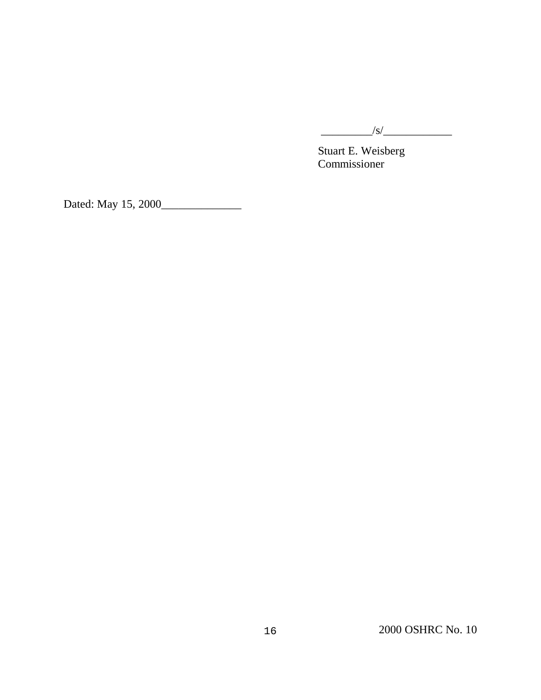

Stuart E. Weisberg Commissioner

Dated: May 15, 2000\_\_\_\_\_\_\_\_\_\_\_\_\_\_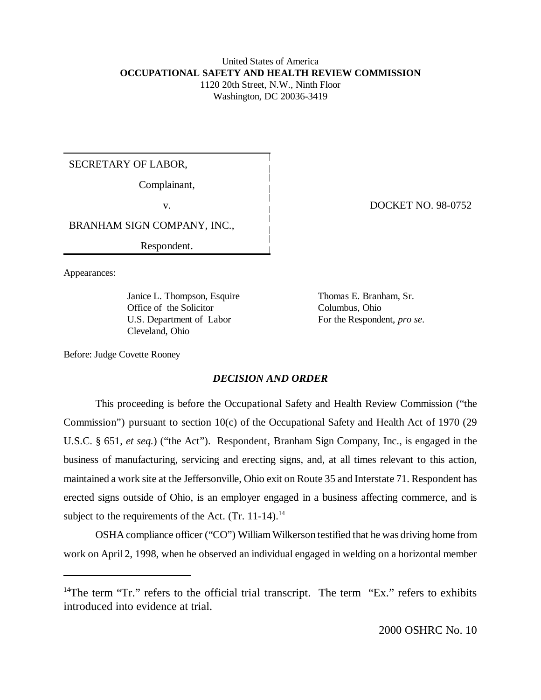#### United States of America **OCCUPATIONAL SAFETY AND HEALTH REVIEW COMMISSION** 1120 20th Street, N.W., Ninth Floor

Washington, DC 20036-3419

# SECRETARY OF LABOR,

Complainant,

BRANHAM SIGN COMPANY, INC.,

Respondent.

Appearances:

Janice L. Thompson, Esquire Thomas E. Branham, Sr. Office of the Solicitor Columbus, Ohio U.S. Department of Labor For the Respondent, *pro se*. Cleveland, Ohio

v. DOCKET NO. 98-0752

Before: Judge Covette Rooney

# *DECISION AND ORDER*

This proceeding is before the Occupational Safety and Health Review Commission ("the Commission") pursuant to section 10(c) of the Occupational Safety and Health Act of 1970 (29 U.S.C. § 651, *et seq.*) ("the Act"). Respondent, Branham Sign Company, Inc., is engaged in the business of manufacturing, servicing and erecting signs, and, at all times relevant to this action, maintained a work site at the Jeffersonville, Ohio exit on Route 35 and Interstate 71. Respondent has erected signs outside of Ohio, is an employer engaged in a business affecting commerce, and is subject to the requirements of the Act.  $(Tr. 11-14).$ <sup>14</sup>

OSHA compliance officer ("CO") William Wilkerson testified that he was driving home from work on April 2, 1998, when he observed an individual engaged in welding on a horizontal member

<sup>&</sup>lt;sup>14</sup>The term "Tr." refers to the official trial transcript. The term "Ex." refers to exhibits introduced into evidence at trial.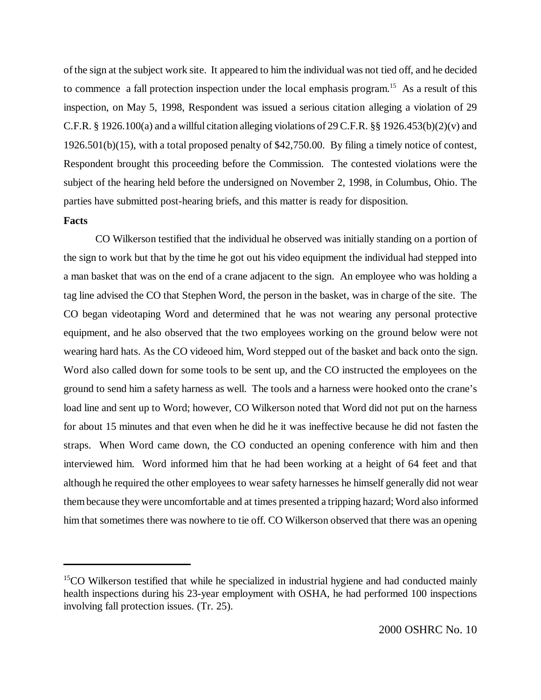of the sign at the subject work site. It appeared to him the individual was not tied off, and he decided to commence a fall protection inspection under the local emphasis program.<sup>15</sup> As a result of this inspection, on May 5, 1998, Respondent was issued a serious citation alleging a violation of 29 C.F.R. § 1926.100(a) and a willful citation alleging violations of 29 C.F.R. §§ 1926.453(b)(2)(v) and 1926.501(b)(15), with a total proposed penalty of \$42,750.00. By filing a timely notice of contest, Respondent brought this proceeding before the Commission. The contested violations were the subject of the hearing held before the undersigned on November 2, 1998, in Columbus, Ohio. The parties have submitted post-hearing briefs, and this matter is ready for disposition.

#### **Facts**

CO Wilkerson testified that the individual he observed was initially standing on a portion of the sign to work but that by the time he got out his video equipment the individual had stepped into a man basket that was on the end of a crane adjacent to the sign. An employee who was holding a tag line advised the CO that Stephen Word, the person in the basket, was in charge of the site. The CO began videotaping Word and determined that he was not wearing any personal protective equipment, and he also observed that the two employees working on the ground below were not wearing hard hats. As the CO videoed him, Word stepped out of the basket and back onto the sign. Word also called down for some tools to be sent up, and the CO instructed the employees on the ground to send him a safety harness as well. The tools and a harness were hooked onto the crane's load line and sent up to Word; however, CO Wilkerson noted that Word did not put on the harness for about 15 minutes and that even when he did he it was ineffective because he did not fasten the straps. When Word came down, the CO conducted an opening conference with him and then interviewed him. Word informed him that he had been working at a height of 64 feet and that although he required the other employees to wear safety harnesses he himself generally did not wear them because they were uncomfortable and at times presented a tripping hazard; Word also informed him that sometimes there was nowhere to tie off. CO Wilkerson observed that there was an opening

<sup>&</sup>lt;sup>15</sup>CO Wilkerson testified that while he specialized in industrial hygiene and had conducted mainly health inspections during his 23-year employment with OSHA, he had performed 100 inspections involving fall protection issues. (Tr. 25).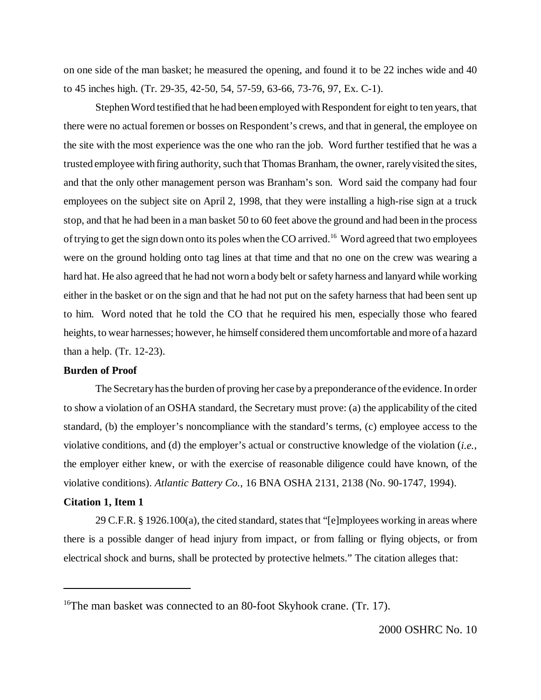on one side of the man basket; he measured the opening, and found it to be 22 inches wide and 40 to 45 inches high. (Tr. 29-35, 42-50, 54, 57-59, 63-66, 73-76, 97, Ex. C-1).

Stephen Word testified that he had been employed with Respondent for eight to ten years, that there were no actual foremen or bosses on Respondent's crews, and that in general, the employee on the site with the most experience was the one who ran the job. Word further testified that he was a trusted employee with firing authority, such that Thomas Branham, the owner, rarely visited the sites, and that the only other management person was Branham's son. Word said the company had four employees on the subject site on April 2, 1998, that they were installing a high-rise sign at a truck stop, and that he had been in a man basket 50 to 60 feet above the ground and had been in the process of trying to get the sign down onto its poles when the CO arrived.<sup>16</sup> Word agreed that two employees were on the ground holding onto tag lines at that time and that no one on the crew was wearing a hard hat. He also agreed that he had not worn a body belt or safety harness and lanyard while working either in the basket or on the sign and that he had not put on the safety harness that had been sent up to him. Word noted that he told the CO that he required his men, especially those who feared heights, to wear harnesses; however, he himself considered them uncomfortable and more of a hazard than a help. (Tr. 12-23).

#### **Burden of Proof**

The Secretary has the burden of proving her case by a preponderance of the evidence. In order to show a violation of an OSHA standard, the Secretary must prove: (a) the applicability of the cited standard, (b) the employer's noncompliance with the standard's terms, (c) employee access to the violative conditions, and (d) the employer's actual or constructive knowledge of the violation (*i.e.*, the employer either knew, or with the exercise of reasonable diligence could have known, of the violative conditions). *Atlantic Battery Co.*, 16 BNA OSHA 2131, 2138 (No. 90-1747, 1994).

### **Citation 1, Item 1**

29 C.F.R. § 1926.100(a), the cited standard, states that "[e]mployees working in areas where there is a possible danger of head injury from impact, or from falling or flying objects, or from electrical shock and burns, shall be protected by protective helmets." The citation alleges that:

<sup>&</sup>lt;sup>16</sup>The man basket was connected to an 80-foot Skyhook crane. (Tr. 17).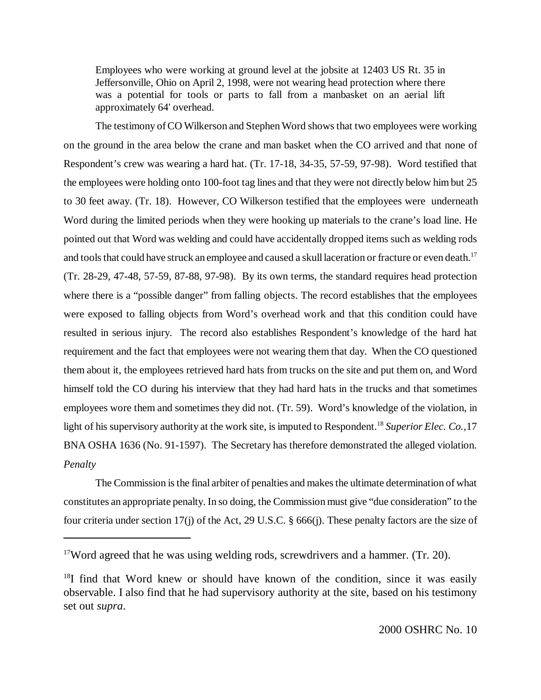Employees who were working at ground level at the jobsite at 12403 US Rt. 35 in Jeffersonville, Ohio on April 2, 1998, were not wearing head protection where there was a potential for tools or parts to fall from a manbasket on an aerial lift approximately 64' overhead.

The testimony of CO Wilkerson and Stephen Word shows that two employees were working on the ground in the area below the crane and man basket when the CO arrived and that none of Respondent's crew was wearing a hard hat. (Tr. 17-18, 34-35, 57-59, 97-98). Word testified that the employees were holding onto 100-foot tag lines and that they were not directly below him but 25 to 30 feet away. (Tr. 18). However, CO Wilkerson testified that the employees were underneath Word during the limited periods when they were hooking up materials to the crane's load line. He pointed out that Word was welding and could have accidentally dropped items such as welding rods and tools that could have struck an employee and caused a skull laceration or fracture or even death.<sup>17</sup> (Tr. 28-29, 47-48, 57-59, 87-88, 97-98). By its own terms, the standard requires head protection where there is a "possible danger" from falling objects. The record establishes that the employees were exposed to falling objects from Word's overhead work and that this condition could have resulted in serious injury. The record also establishes Respondent's knowledge of the hard hat requirement and the fact that employees were not wearing them that day. When the CO questioned them about it, the employees retrieved hard hats from trucks on the site and put them on, and Word himself told the CO during his interview that they had hard hats in the trucks and that sometimes employees wore them and sometimes they did not. (Tr. 59). Word's knowledge of the violation, in light of his supervisory authority at the work site, is imputed to Respondent.<sup>18</sup> Superior Elec. Co., 17 BNA OSHA 1636 (No. 91-1597). The Secretary has therefore demonstrated the alleged violation. *Penalty*

The Commission is the final arbiter of penalties and makes the ultimate determination of what constitutes an appropriate penalty. In so doing, the Commission must give "due consideration" to the four criteria under section 17(j) of the Act, 29 U.S.C. § 666(j). These penalty factors are the size of

 $17$ Word agreed that he was using welding rods, screwdrivers and a hammer. (Tr. 20).

 $18I$  find that Word knew or should have known of the condition, since it was easily observable. I also find that he had supervisory authority at the site, based on his testimony set out *supra*.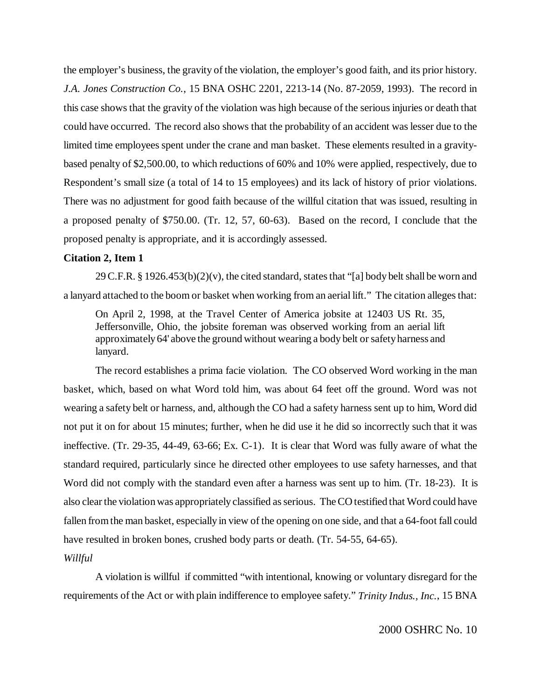the employer's business, the gravity of the violation, the employer's good faith, and its prior history. *J.A. Jones Construction Co.*, 15 BNA OSHC 2201, 2213-14 (No. 87-2059, 1993). The record in this case shows that the gravity of the violation was high because of the serious injuries or death that could have occurred. The record also shows that the probability of an accident was lesser due to the limited time employees spent under the crane and man basket. These elements resulted in a gravitybased penalty of \$2,500.00, to which reductions of 60% and 10% were applied, respectively, due to Respondent's small size (a total of 14 to 15 employees) and its lack of history of prior violations. There was no adjustment for good faith because of the willful citation that was issued, resulting in a proposed penalty of \$750.00. (Tr. 12, 57, 60-63). Based on the record, I conclude that the proposed penalty is appropriate, and it is accordingly assessed.

#### **Citation 2, Item 1**

29 C.F.R. § 1926.453(b)(2)(v), the cited standard, states that "[a] body belt shall be worn and a lanyard attached to the boom or basket when working from an aerial lift." The citation alleges that:

On April 2, 1998, at the Travel Center of America jobsite at 12403 US Rt. 35, Jeffersonville, Ohio, the jobsite foreman was observed working from an aerial lift approximately 64' above the ground without wearing a body belt or safety harness and lanyard.

The record establishes a prima facie violation. The CO observed Word working in the man basket, which, based on what Word told him, was about 64 feet off the ground. Word was not wearing a safety belt or harness, and, although the CO had a safety harness sent up to him, Word did not put it on for about 15 minutes; further, when he did use it he did so incorrectly such that it was ineffective. (Tr. 29-35, 44-49, 63-66; Ex. C-1). It is clear that Word was fully aware of what the standard required, particularly since he directed other employees to use safety harnesses, and that Word did not comply with the standard even after a harness was sent up to him. (Tr. 18-23). It is also clear the violation was appropriately classified as serious. The CO testified that Word could have fallen from the man basket, especially in view of the opening on one side, and that a 64-foot fall could have resulted in broken bones, crushed body parts or death. (Tr. 54-55, 64-65).

*Willful*

A violation is willful if committed "with intentional, knowing or voluntary disregard for the requirements of the Act or with plain indifference to employee safety." *Trinity Indus., Inc.*, 15 BNA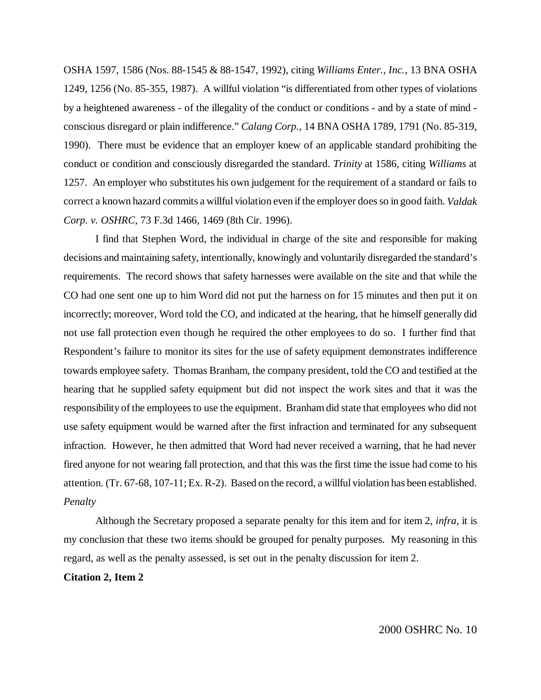OSHA 1597, 1586 (Nos. 88-1545 & 88-1547, 1992), citing *Williams Enter., Inc.*, 13 BNA OSHA 1249, 1256 (No. 85-355, 1987). A willful violation "is differentiated from other types of violations by a heightened awareness - of the illegality of the conduct or conditions - and by a state of mind conscious disregard or plain indifference." *Calang Corp.*, 14 BNA OSHA 1789, 1791 (No. 85-319, 1990). There must be evidence that an employer knew of an applicable standard prohibiting the conduct or condition and consciously disregarded the standard. *Trinity* at 1586, citing *Williams* at 1257. An employer who substitutes his own judgement for the requirement of a standard or fails to correct a known hazard commits a willful violation even if the employer does so in good faith. *Valdak Corp. v. OSHRC*, 73 F.3d 1466, 1469 (8th Cir. 1996).

I find that Stephen Word, the individual in charge of the site and responsible for making decisions and maintaining safety, intentionally, knowingly and voluntarily disregarded the standard's requirements. The record shows that safety harnesses were available on the site and that while the CO had one sent one up to him Word did not put the harness on for 15 minutes and then put it on incorrectly; moreover, Word told the CO, and indicated at the hearing, that he himself generally did not use fall protection even though he required the other employees to do so. I further find that Respondent's failure to monitor its sites for the use of safety equipment demonstrates indifference towards employee safety. Thomas Branham, the company president, told the CO and testified at the hearing that he supplied safety equipment but did not inspect the work sites and that it was the responsibility of the employees to use the equipment. Branham did state that employees who did not use safety equipment would be warned after the first infraction and terminated for any subsequent infraction. However, he then admitted that Word had never received a warning, that he had never fired anyone for not wearing fall protection, and that this was the first time the issue had come to his attention. (Tr. 67-68, 107-11; Ex. R-2). Based on the record, a willful violation has been established. *Penalty*

Although the Secretary proposed a separate penalty for this item and for item 2, *infra*, it is my conclusion that these two items should be grouped for penalty purposes. My reasoning in this regard, as well as the penalty assessed, is set out in the penalty discussion for item 2.

#### **Citation 2, Item 2**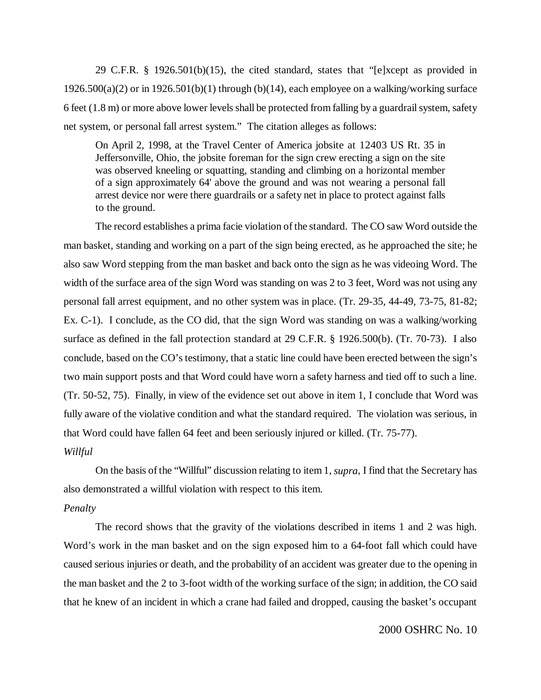29 C.F.R. § 1926.501(b)(15), the cited standard, states that "[e]xcept as provided in  $1926.500(a)(2)$  or in  $1926.501(b)(1)$  through (b)(14), each employee on a walking/working surface 6 feet (1.8 m) or more above lower levels shall be protected from falling by a guardrail system, safety net system, or personal fall arrest system." The citation alleges as follows:

On April 2, 1998, at the Travel Center of America jobsite at 12403 US Rt. 35 in Jeffersonville, Ohio, the jobsite foreman for the sign crew erecting a sign on the site was observed kneeling or squatting, standing and climbing on a horizontal member of a sign approximately 64' above the ground and was not wearing a personal fall arrest device nor were there guardrails or a safety net in place to protect against falls to the ground.

The record establishes a prima facie violation of the standard. The CO saw Word outside the man basket, standing and working on a part of the sign being erected, as he approached the site; he also saw Word stepping from the man basket and back onto the sign as he was videoing Word. The width of the surface area of the sign Word was standing on was 2 to 3 feet, Word was not using any personal fall arrest equipment, and no other system was in place. (Tr. 29-35, 44-49, 73-75, 81-82; Ex. C-1). I conclude, as the CO did, that the sign Word was standing on was a walking/working surface as defined in the fall protection standard at 29 C.F.R. § 1926.500(b). (Tr. 70-73). I also conclude, based on the CO's testimony, that a static line could have been erected between the sign's two main support posts and that Word could have worn a safety harness and tied off to such a line. (Tr. 50-52, 75). Finally, in view of the evidence set out above in item 1, I conclude that Word was fully aware of the violative condition and what the standard required. The violation was serious, in that Word could have fallen 64 feet and been seriously injured or killed. (Tr. 75-77). *Willful*

On the basis of the "Willful" discussion relating to item 1, *supra*, I find that the Secretary has also demonstrated a willful violation with respect to this item.

#### *Penalty*

The record shows that the gravity of the violations described in items 1 and 2 was high. Word's work in the man basket and on the sign exposed him to a 64-foot fall which could have caused serious injuries or death, and the probability of an accident was greater due to the opening in the man basket and the 2 to 3-foot width of the working surface of the sign; in addition, the CO said that he knew of an incident in which a crane had failed and dropped, causing the basket's occupant